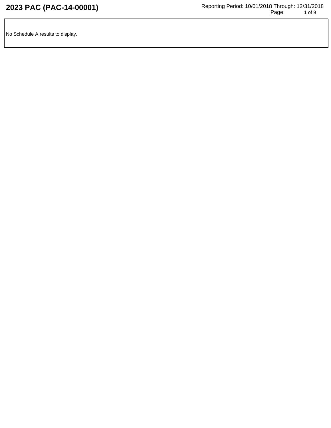No Schedule A results to display.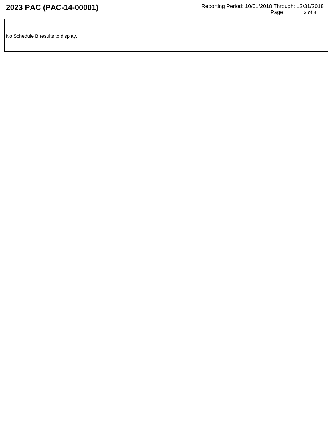No Schedule B results to display.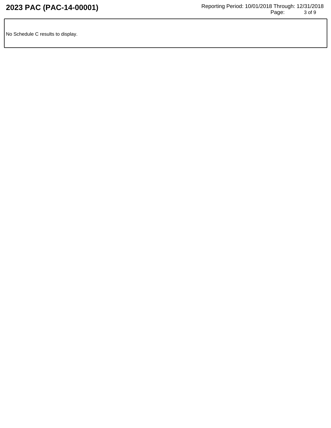No Schedule C results to display.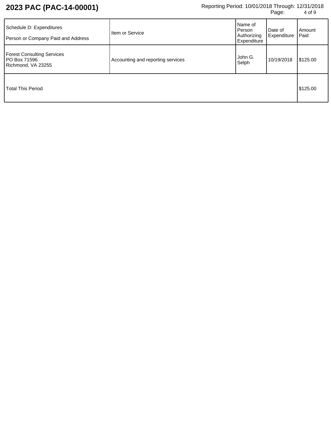| Schedule D: Expenditures<br>Person or Company Paid and Address          | Item or Service                   | Name of<br>Person<br>Authorizing<br>Expenditure | Date of<br>Expenditure | Amount<br>Paid |
|-------------------------------------------------------------------------|-----------------------------------|-------------------------------------------------|------------------------|----------------|
| <b>Forest Consulting Services</b><br>PO Box 71596<br>Richmond, VA 23255 | Accounting and reporting services | John G.<br>Selph                                | 10/19/2018             | \$125.00       |
| <b>Total This Period</b>                                                |                                   |                                                 |                        | \$125.00       |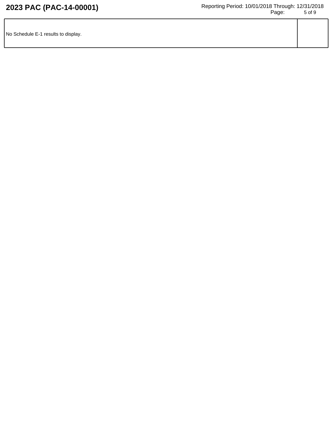| No Schedule E-1 results to display. |  |
|-------------------------------------|--|
|                                     |  |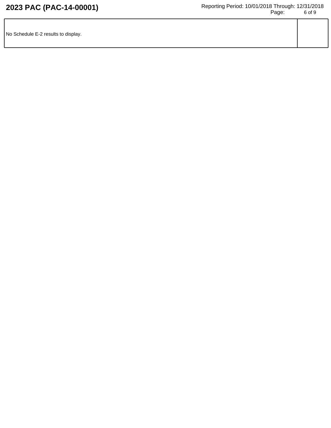| No Schedule E-2 results to display. |  |
|-------------------------------------|--|
|                                     |  |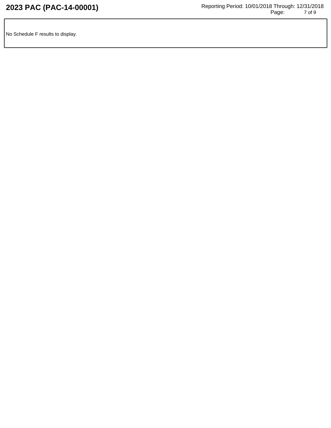No Schedule F results to display.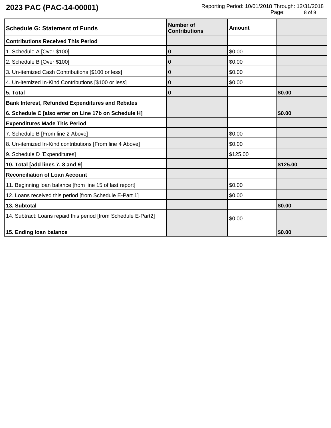| <b>Schedule G: Statement of Funds</b>                          | <b>Number of</b><br><b>Contributions</b> | Amount   |          |
|----------------------------------------------------------------|------------------------------------------|----------|----------|
| <b>Contributions Received This Period</b>                      |                                          |          |          |
| 1. Schedule A [Over \$100]                                     | 0                                        | \$0.00   |          |
| 2. Schedule B [Over \$100]                                     | 0                                        | \$0.00   |          |
| 3. Un-itemized Cash Contributions [\$100 or less]              | $\overline{0}$                           | \$0.00   |          |
| 4. Un-itemized In-Kind Contributions [\$100 or less]           | 0                                        | \$0.00   |          |
| 5. Total                                                       | $\bf{0}$                                 |          | \$0.00   |
| <b>Bank Interest, Refunded Expenditures and Rebates</b>        |                                          |          |          |
| 6. Schedule C [also enter on Line 17b on Schedule H]           |                                          |          | \$0.00   |
| <b>Expenditures Made This Period</b>                           |                                          |          |          |
| 7. Schedule B [From line 2 Above]                              |                                          | \$0.00   |          |
| 8. Un-itemized In-Kind contributions [From line 4 Above]       |                                          | \$0.00   |          |
| 9. Schedule D [Expenditures]                                   |                                          | \$125.00 |          |
| 10. Total [add lines 7, 8 and 9]                               |                                          |          | \$125.00 |
| <b>Reconciliation of Loan Account</b>                          |                                          |          |          |
| 11. Beginning loan balance [from line 15 of last report]       |                                          | \$0.00   |          |
| 12. Loans received this period [from Schedule E-Part 1]        |                                          | \$0.00   |          |
| 13. Subtotal                                                   |                                          |          | \$0.00   |
| 14. Subtract: Loans repaid this period [from Schedule E-Part2] |                                          | \$0.00   |          |
| 15. Ending loan balance                                        |                                          |          | \$0.00   |